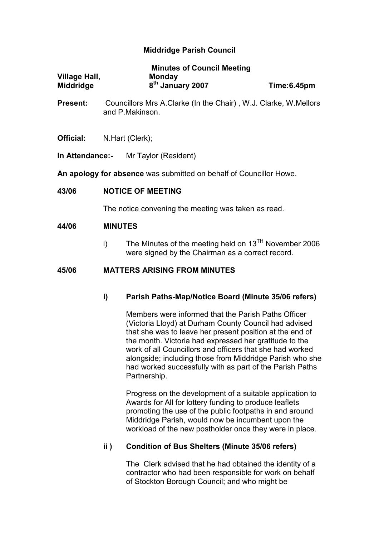# Middridge Parish Council

|                      | <b>Minutes of Council Meeting</b> |             |
|----------------------|-----------------------------------|-------------|
| <b>Village Hall,</b> | <b>Monday</b>                     |             |
| <b>Middridge</b>     | 8 <sup>th</sup> January 2007      | Time:6.45pm |

- Present: Councillors Mrs A.Clarke (In the Chair) , W.J. Clarke, W.Mellors and P.Makinson.
- Official: N.Hart (Clerk);
- In Attendance:- Mr Taylor (Resident)

An apology for absence was submitted on behalf of Councillor Howe.

### 43/06 NOTICE OF MEETING

The notice convening the meeting was taken as read.

#### 44/06 MINUTES

i) The Minutes of the meeting held on  $13<sup>TH</sup>$  November 2006 were signed by the Chairman as a correct record.

### 45/06 MATTERS ARISING FROM MINUTES

## i) Parish Paths-Map/Notice Board (Minute 35/06 refers)

 Members were informed that the Parish Paths Officer (Victoria Lloyd) at Durham County Council had advised that she was to leave her present position at the end of the month. Victoria had expressed her gratitude to the work of all Councillors and officers that she had worked alongside; including those from Middridge Parish who she had worked successfully with as part of the Parish Paths Partnership.

 Progress on the development of a suitable application to Awards for All for lottery funding to produce leaflets promoting the use of the public footpaths in and around Middridge Parish, would now be incumbent upon the workload of the new postholder once they were in place.

## ii ) Condition of Bus Shelters (Minute 35/06 refers)

The Clerk advised that he had obtained the identity of a contractor who had been responsible for work on behalf of Stockton Borough Council; and who might be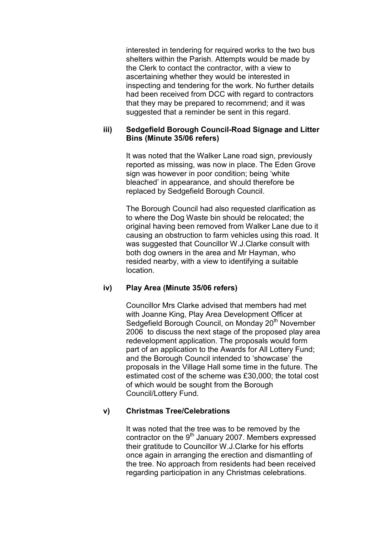interested in tendering for required works to the two bus shelters within the Parish. Attempts would be made by the Clerk to contact the contractor, with a view to ascertaining whether they would be interested in inspecting and tendering for the work. No further details had been received from DCC with regard to contractors that they may be prepared to recommend; and it was suggested that a reminder be sent in this regard.

# iii) Sedgefield Borough Council-Road Signage and Litter Bins (Minute 35/06 refers)

It was noted that the Walker Lane road sign, previously reported as missing, was now in place. The Eden Grove sign was however in poor condition; being 'white bleached' in appearance, and should therefore be replaced by Sedgefield Borough Council.

The Borough Council had also requested clarification as to where the Dog Waste bin should be relocated; the original having been removed from Walker Lane due to it causing an obstruction to farm vehicles using this road. It was suggested that Councillor W.J.Clarke consult with both dog owners in the area and Mr Hayman, who resided nearby, with a view to identifying a suitable location.

# iv) Play Area (Minute 35/06 refers)

 Councillor Mrs Clarke advised that members had met with Joanne King, Play Area Development Officer at Sedgefield Borough Council, on Monday 20<sup>th</sup> November 2006 to discuss the next stage of the proposed play area redevelopment application. The proposals would form part of an application to the Awards for All Lottery Fund; and the Borough Council intended to 'showcase' the proposals in the Village Hall some time in the future. The estimated cost of the scheme was £30,000; the total cost of which would be sought from the Borough Council/Lottery Fund.

# v) Christmas Tree/Celebrations

It was noted that the tree was to be removed by the contractor on the  $9<sup>th</sup>$  January 2007. Members expressed their gratitude to Councillor W.J.Clarke for his efforts once again in arranging the erection and dismantling of the tree. No approach from residents had been received regarding participation in any Christmas celebrations.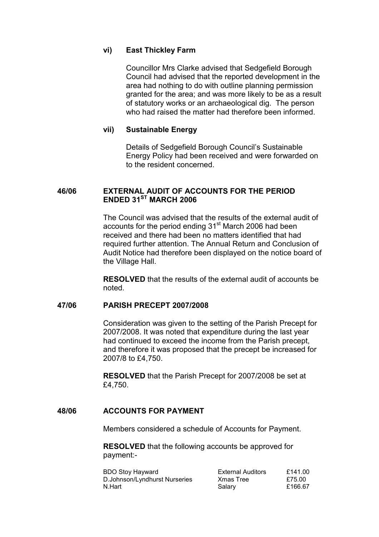## vi) East Thickley Farm

Councillor Mrs Clarke advised that Sedgefield Borough Council had advised that the reported development in the area had nothing to do with outline planning permission granted for the area; and was more likely to be as a result of statutory works or an archaeological dig. The person who had raised the matter had therefore been informed.

### vii) Sustainable Energy

Details of Sedgefield Borough Council's Sustainable Energy Policy had been received and were forwarded on to the resident concerned.

# 46/06 EXTERNAL AUDIT OF ACCOUNTS FOR THE PERIOD ENDED 31ST MARCH 2006

The Council was advised that the results of the external audit of accounts for the period ending 31<sup>st</sup> March 2006 had been received and there had been no matters identified that had required further attention. The Annual Return and Conclusion of Audit Notice had therefore been displayed on the notice board of the Village Hall.

RESOLVED that the results of the external audit of accounts be noted.

#### 47/06 PARISH PRECEPT 2007/2008

Consideration was given to the setting of the Parish Precept for 2007/2008. It was noted that expenditure during the last year had continued to exceed the income from the Parish precept, and therefore it was proposed that the precept be increased for 2007/8 to £4,750.

RESOLVED that the Parish Precept for 2007/2008 be set at £4,750.

## 48/06 ACCOUNTS FOR PAYMENT

Members considered a schedule of Accounts for Payment.

RESOLVED that the following accounts be approved for payment:-

| <b>BDO Stoy Hayward</b>       | <b>External Auditors</b> | £141.00 |
|-------------------------------|--------------------------|---------|
| D.Johnson/Lyndhurst Nurseries | Xmas Tree                | £75.00  |
| N.Hart                        | Salary                   | £166.67 |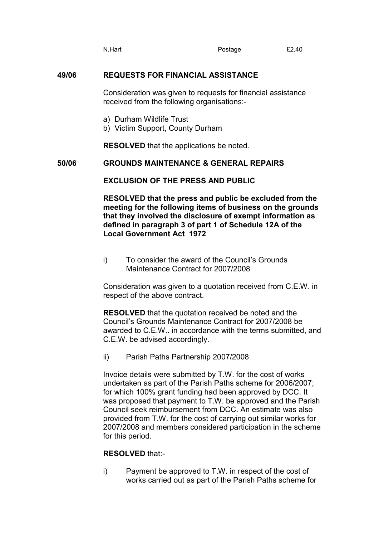N.Hart **Postage E2.40** 

## 49/06 REQUESTS FOR FINANCIAL ASSISTANCE

Consideration was given to requests for financial assistance received from the following organisations:-

- a) Durham Wildlife Trust
- b) Victim Support, County Durham

RESOLVED that the applications be noted.

50/06 GROUNDS MAINTENANCE & GENERAL REPAIRS

EXCLUSION OF THE PRESS AND PUBLIC

RESOLVED that the press and public be excluded from the meeting for the following items of business on the grounds that they involved the disclosure of exempt information as defined in paragraph 3 of part 1 of Schedule 12A of the Local Government Act 1972

i) To consider the award of the Council's Grounds Maintenance Contract for 2007/2008

Consideration was given to a quotation received from C.E.W. in respect of the above contract.

RESOLVED that the quotation received be noted and the Council's Grounds Maintenance Contract for 2007/2008 be awarded to C.E.W.. in accordance with the terms submitted, and C.E.W. be advised accordingly.

ii) Parish Paths Partnership 2007/2008

 Invoice details were submitted by T.W. for the cost of works undertaken as part of the Parish Paths scheme for 2006/2007; for which 100% grant funding had been approved by DCC. It was proposed that payment to T.W. be approved and the Parish Council seek reimbursement from DCC. An estimate was also provided from T.W. for the cost of carrying out similar works for 2007/2008 and members considered participation in the scheme for this period.

## RESOLVED that:-

i) Payment be approved to T.W. in respect of the cost of works carried out as part of the Parish Paths scheme for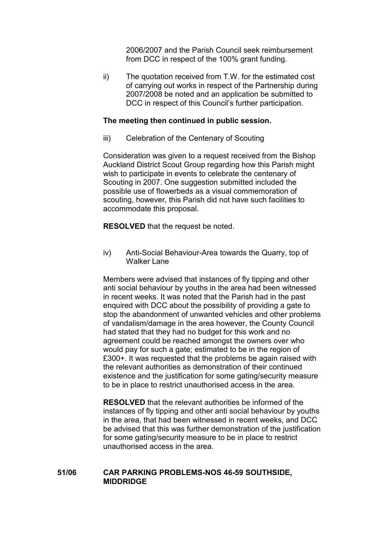2006/2007 and the Parish Council seek reimbursement from DCC in respect of the 100% grant funding.

ii) The quotation received from T.W. for the estimated cost of carrying out works in respect of the Partnership during 2007/2008 be noted and an application be submitted to DCC in respect of this Council's further participation.

### The meeting then continued in public session.

iii) Celebration of the Centenary of Scouting

Consideration was given to a request received from the Bishop Auckland District Scout Group regarding how this Parish might wish to participate in events to celebrate the centenary of Scouting in 2007. One suggestion submitted included the possible use of flowerbeds as a visual commemoration of scouting, however, this Parish did not have such facilities to accommodate this proposal.

RESOLVED that the request be noted.

iv) Anti-Social Behaviour-Area towards the Quarry, top of Walker Lane

Members were advised that instances of fly tipping and other anti social behaviour by youths in the area had been witnessed in recent weeks. It was noted that the Parish had in the past enquired with DCC about the possibility of providing a gate to stop the abandonment of unwanted vehicles and other problems of vandalism/damage in the area however, the County Council had stated that they had no budget for this work and no agreement could be reached amongst the owners over who would pay for such a gate; estimated to be in the region of £300+. It was requested that the problems be again raised with the relevant authorities as demonstration of their continued existence and the justification for some gating/security measure to be in place to restrict unauthorised access in the area.

RESOLVED that the relevant authorities be informed of the instances of fly tipping and other anti social behaviour by youths in the area, that had been witnessed in recent weeks, and DCC be advised that this was further demonstration of the justification for some gating/security measure to be in place to restrict unauthorised access in the area.

### 51/06 CAR PARKING PROBLEMS-NOS 46-59 SOUTHSIDE, MIDDRIDGE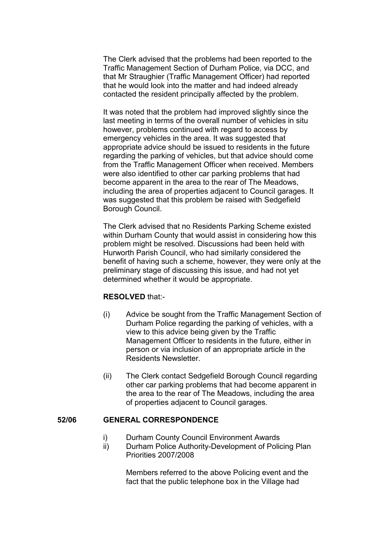The Clerk advised that the problems had been reported to the Traffic Management Section of Durham Police, via DCC, and that Mr Straughier (Traffic Management Officer) had reported that he would look into the matter and had indeed already contacted the resident principally affected by the problem.

 It was noted that the problem had improved slightly since the last meeting in terms of the overall number of vehicles in situ however, problems continued with regard to access by emergency vehicles in the area. It was suggested that appropriate advice should be issued to residents in the future regarding the parking of vehicles, but that advice should come from the Traffic Management Officer when received. Members were also identified to other car parking problems that had become apparent in the area to the rear of The Meadows, including the area of properties adjacent to Council garages. It was suggested that this problem be raised with Sedgefield Borough Council.

 The Clerk advised that no Residents Parking Scheme existed within Durham County that would assist in considering how this problem might be resolved. Discussions had been held with Hurworth Parish Council, who had similarly considered the benefit of having such a scheme, however, they were only at the preliminary stage of discussing this issue, and had not yet determined whether it would be appropriate.

#### RESOLVED that:-

- (i) Advice be sought from the Traffic Management Section of Durham Police regarding the parking of vehicles, with a view to this advice being given by the Traffic Management Officer to residents in the future, either in person or via inclusion of an appropriate article in the Residents Newsletter.
- (ii) The Clerk contact Sedgefield Borough Council regarding other car parking problems that had become apparent in the area to the rear of The Meadows, including the area of properties adjacent to Council garages.

## 52/06 GENERAL CORRESPONDENCE

- i) Durham County Council Environment Awards
- ii) Durham Police Authority-Development of Policing Plan Priorities 2007/2008

Members referred to the above Policing event and the fact that the public telephone box in the Village had